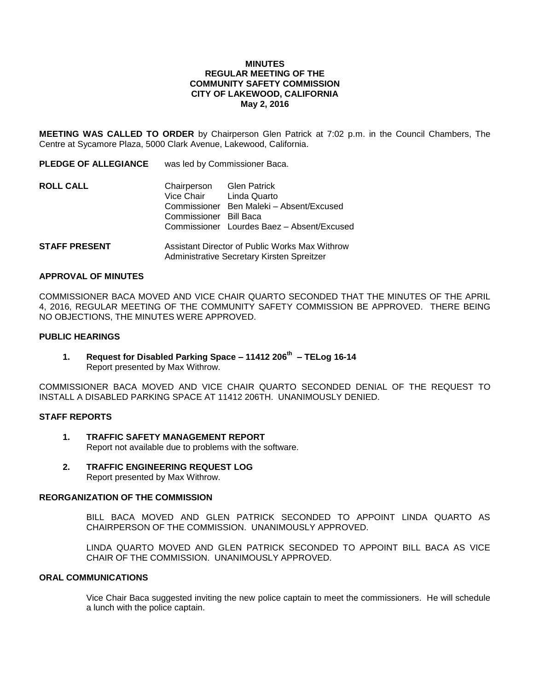#### **MINUTES REGULAR MEETING OF THE COMMUNITY SAFETY COMMISSION CITY OF LAKEWOOD, CALIFORNIA May 2, 2016**

**MEETING WAS CALLED TO ORDER** by Chairperson Glen Patrick at 7:02 p.m. in the Council Chambers, The Centre at Sycamore Plaza, 5000 Clark Avenue, Lakewood, California.

**PLEDGE OF ALLEGIANCE** was led by Commissioner Baca.

| <b>ROLL CALL</b> | Chairperson            | <b>Glen Patrick</b>                        |
|------------------|------------------------|--------------------------------------------|
|                  | Vice Chair             | Linda Quarto                               |
|                  |                        | Commissioner Ben Maleki - Absent/Excused   |
|                  | Commissioner Bill Baca |                                            |
|                  |                        | Commissioner Lourdes Baez - Absent/Excused |
|                  |                        |                                            |

**STAFF PRESENT** Assistant Director of Public Works Max Withrow Administrative Secretary Kirsten Spreitzer

#### **APPROVAL OF MINUTES**

COMMISSIONER BACA MOVED AND VICE CHAIR QUARTO SECONDED THAT THE MINUTES OF THE APRIL 4, 2016, REGULAR MEETING OF THE COMMUNITY SAFETY COMMISSION BE APPROVED. THERE BEING NO OBJECTIONS, THE MINUTES WERE APPROVED.

## **PUBLIC HEARINGS**

**1. Request for Disabled Parking Space – 11412 206th – TELog 16-14** Report presented by Max Withrow.

COMMISSIONER BACA MOVED AND VICE CHAIR QUARTO SECONDED DENIAL OF THE REQUEST TO INSTALL A DISABLED PARKING SPACE AT 11412 206TH. UNANIMOUSLY DENIED.

## **STAFF REPORTS**

- **1. TRAFFIC SAFETY MANAGEMENT REPORT** Report not available due to problems with the software.
- **2. TRAFFIC ENGINEERING REQUEST LOG** Report presented by Max Withrow.

#### **REORGANIZATION OF THE COMMISSION**

BILL BACA MOVED AND GLEN PATRICK SECONDED TO APPOINT LINDA QUARTO AS CHAIRPERSON OF THE COMMISSION. UNANIMOUSLY APPROVED.

LINDA QUARTO MOVED AND GLEN PATRICK SECONDED TO APPOINT BILL BACA AS VICE CHAIR OF THE COMMISSION. UNANIMOUSLY APPROVED.

# **ORAL COMMUNICATIONS**

Vice Chair Baca suggested inviting the new police captain to meet the commissioners. He will schedule a lunch with the police captain.